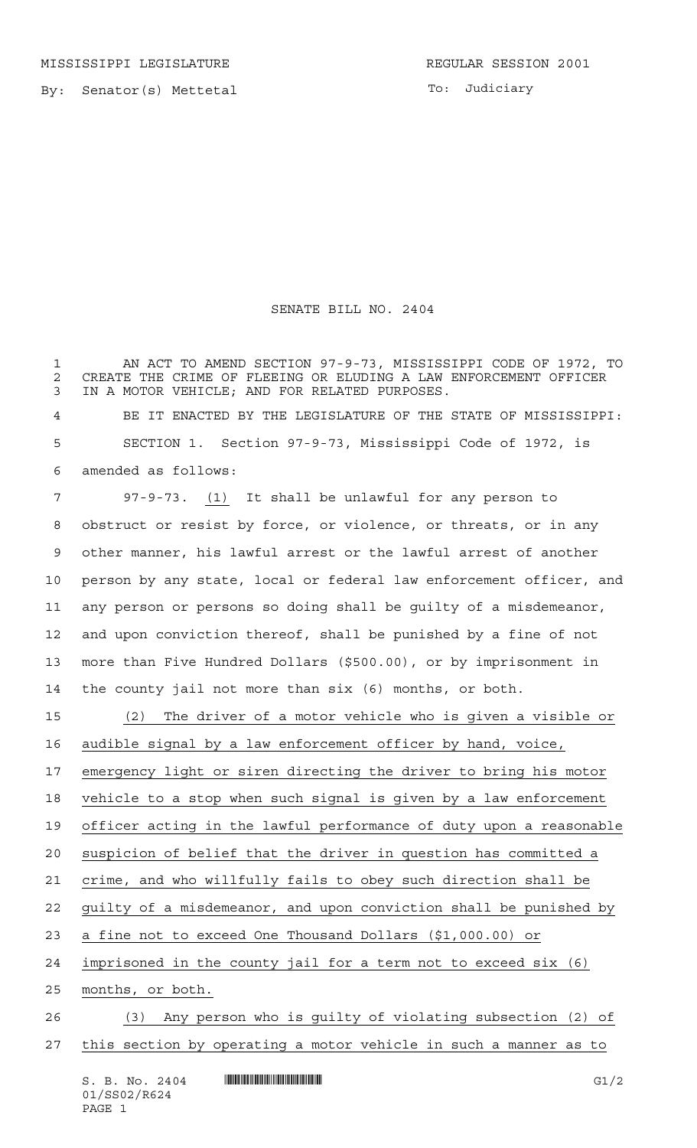By: Senator(s) Mettetal

To: Judiciary

## SENATE BILL NO. 2404

 AN ACT TO AMEND SECTION 97-9-73, MISSISSIPPI CODE OF 1972, TO 2 CREATE THE CRIME OF FLEEING OR ELUDING A LAW ENFORCEMENT OFFICER<br>3 IN A MOTOR VEHICLE: AND FOR RELATED PURPOSES. IN A MOTOR VEHICLE; AND FOR RELATED PURPOSES.

 BE IT ENACTED BY THE LEGISLATURE OF THE STATE OF MISSISSIPPI: SECTION 1. Section 97-9-73, Mississippi Code of 1972, is amended as follows:

 97-9-73. (1) It shall be unlawful for any person to obstruct or resist by force, or violence, or threats, or in any other manner, his lawful arrest or the lawful arrest of another person by any state, local or federal law enforcement officer, and any person or persons so doing shall be guilty of a misdemeanor, and upon conviction thereof, shall be punished by a fine of not more than Five Hundred Dollars (\$500.00), or by imprisonment in the county jail not more than six (6) months, or both.

 (2) The driver of a motor vehicle who is given a visible or audible signal by a law enforcement officer by hand, voice, emergency light or siren directing the driver to bring his motor vehicle to a stop when such signal is given by a law enforcement 19 officer acting in the lawful performance of duty upon a reasonable suspicion of belief that the driver in question has committed a crime, and who willfully fails to obey such direction shall be guilty of a misdemeanor, and upon conviction shall be punished by a fine not to exceed One Thousand Dollars (\$1,000.00) or imprisoned in the county jail for a term not to exceed six (6) months, or both. (3) Any person who is guilty of violating subsection (2) of this section by operating a motor vehicle in such a manner as to

S. B. No. 2404 \*SS02/R624\* G1/2 01/SS02/R624 PAGE 1